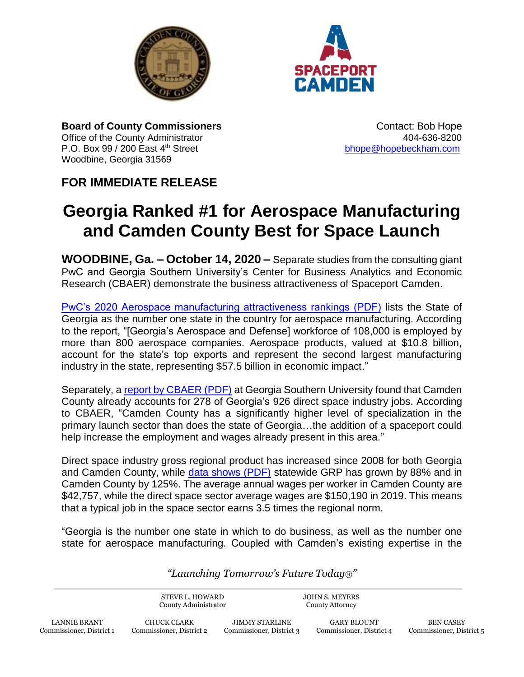



**Board of County Commissioners COUNTY CONTACT: Bob Hope** Contact: Bob Hope Office of the County Administrator **404-636-8200** P.O. Box 99 / 200 East 4<sup>th</sup> Street bhorough [bhope@hopebeckham.com](mailto:bhope@hopebeckham.com) Woodbine, Georgia 31569

## **FOR IMMEDIATE RELEASE**

## **Georgia Ranked #1 for Aerospace Manufacturing and Camden County Best for Space Launch**

**WOODBINE, Ga. – October 14, 2020 –** Separate studies from the consulting giant PwC and Georgia Southern University's Center for Business Analytics and Economic Research (CBAER) demonstrate the business attractiveness of Spaceport Camden.

[PwC's 2020 Aerospace manufacturing attractiveness rankings \(PDF\)](https://www.pwc.com/us/en/industries/aerospace-defense/assets/pwc-ffg-aerospace-defense-manufacturing-annual-report-2020.pdf) lists the State of Georgia as the number one state in the country for aerospace manufacturing. According to the report, "[Georgia's Aerospace and Defense] workforce of 108,000 is employed by more than 800 aerospace companies. Aerospace products, valued at \$10.8 billion, account for the state's top exports and represent the second largest manufacturing industry in the state, representing \$57.5 billion in economic impact."

Separately, a [report by CBAER \(PDF\)](https://www.camdencountyga.gov/DocumentCenter/View/12095/Business-Development-Linked-to-US-Spaceports) at Georgia Southern University found that Camden County already accounts for 278 of Georgia's 926 direct space industry jobs. According to CBAER, "Camden County has a significantly higher level of specialization in the primary launch sector than does the state of Georgia…the addition of a spaceport could help increase the employment and wages already present in this area."

Direct space industry gross regional product has increased since 2008 for both Georgia and Camden County, while [data shows \(PDF\)](https://www.camdencountyga.gov/DocumentCenter/View/12096/Georgias-Growing-Space-Industry) statewide GRP has grown by 88% and in Camden County by 125%. The average annual wages per worker in Camden County are \$42,757, while the direct space sector average wages are \$150,190 in 2019. This means that a typical job in the space sector earns 3.5 times the regional norm.

"Georgia is the number one state in which to do business, as well as the number one state for aerospace manufacturing. Coupled with Camden's existing expertise in the

*"Launching Tomorrow's Future Today®"*

STEVE L. HOWARD County Administrator

JOHN S. MEYERS County Attorney

LANNIE BRANT Commissioner, District 1

CHUCK CLARK Commissioner, District 2

JIMMY STARLINE Commissioner, District 3

GARY BLOUNT Commissioner, District 4

BEN CASEY Commissioner, District 5